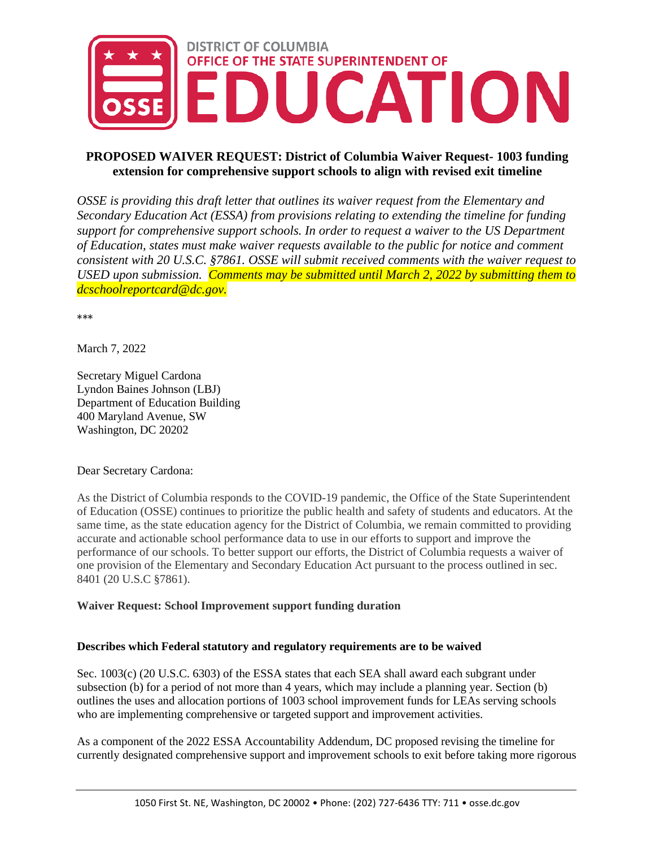

# **PROPOSED WAIVER REQUEST: District of Columbia Waiver Request- 1003 funding extension for comprehensive support schools to align with revised exit timeline**

*OSSE is providing this draft letter that outlines its waiver request from the Elementary and Secondary Education Act (ESSA) from provisions relating to extending the timeline for funding support for comprehensive support schools. In order to request a waiver to the US Department of Education, states must make waiver requests available to the public for notice and comment consistent with 20 U.S.C. §7861. OSSE will submit received comments with the waiver request to USED upon submission. Comments may be submitted until March 2, 2022 by submitting them to dcschoolreportcard@dc.gov.*

\*\*\*

March 7, 2022

Secretary Miguel Cardona Lyndon Baines Johnson (LBJ) Department of Education Building 400 Maryland Avenue, SW Washington, DC 20202

Dear Secretary Cardona:

As the District of Columbia responds to the COVID-19 pandemic, the Office of the State Superintendent of Education (OSSE) continues to prioritize the public health and safety of students and educators. At the same time, as the state education agency for the District of Columbia, we remain committed to providing accurate and actionable school performance data to use in our efforts to support and improve the performance of our schools. To better support our efforts, the District of Columbia requests a waiver of one provision of the Elementary and Secondary Education Act pursuant to the process outlined in sec. 8401 (20 U.S.C §7861).

## **Waiver Request: School Improvement support funding duration**

## **Describes which Federal statutory and regulatory requirements are to be waived**

Sec. 1003(c) (20 U.S.C. 6303) of the ESSA states that each SEA shall award each subgrant under subsection (b) for a period of not more than 4 years, which may include a planning year. Section (b) outlines the uses and allocation portions of 1003 school improvement funds for LEAs serving schools who are implementing comprehensive or targeted support and improvement activities.

As a component of the 2022 ESSA Accountability Addendum, DC proposed revising the timeline for currently designated comprehensive support and improvement schools to exit before taking more rigorous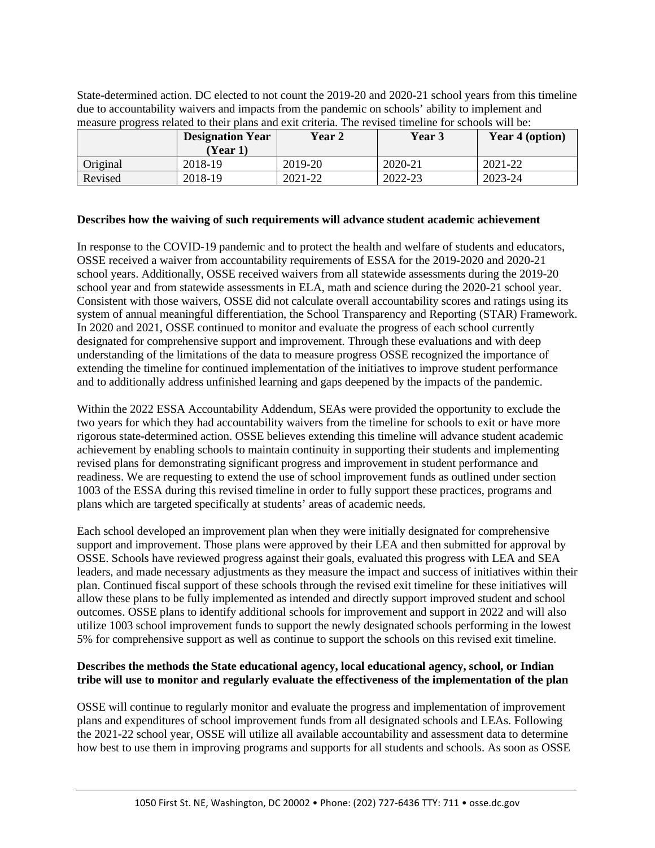|          | <b>Designation Year</b><br>(Year 1) | Year 2  | Year 3  | Year 4 (option) |
|----------|-------------------------------------|---------|---------|-----------------|
| Original | 2018-19                             | 2019-20 | 2020-21 | 2021-22         |
| Revised  | 2018-19                             | 2021-22 | 2022-23 | 2023-24         |

State-determined action. DC elected to not count the 2019-20 and 2020-21 school years from this timeline due to accountability waivers and impacts from the pandemic on schools' ability to implement and measure progress related to their plans and exit criteria. The revised timeline for schools will be:

#### **Describes how the waiving of such requirements will advance student academic achievement**

In response to the COVID-19 pandemic and to protect the health and welfare of students and educators, OSSE received a waiver from accountability requirements of ESSA for the 2019-2020 and 2020-21 school years. Additionally, OSSE received waivers from all statewide assessments during the 2019-20 school year and from statewide assessments in ELA, math and science during the 2020-21 school year. Consistent with those waivers, OSSE did not calculate overall accountability scores and ratings using its system of annual meaningful differentiation, the School Transparency and Reporting (STAR) Framework. In 2020 and 2021, OSSE continued to monitor and evaluate the progress of each school currently designated for comprehensive support and improvement. Through these evaluations and with deep understanding of the limitations of the data to measure progress OSSE recognized the importance of extending the timeline for continued implementation of the initiatives to improve student performance and to additionally address unfinished learning and gaps deepened by the impacts of the pandemic.

Within the 2022 ESSA Accountability Addendum, SEAs were provided the opportunity to exclude the two years for which they had accountability waivers from the timeline for schools to exit or have more rigorous state-determined action. OSSE believes extending this timeline will advance student academic achievement by enabling schools to maintain continuity in supporting their students and implementing revised plans for demonstrating significant progress and improvement in student performance and readiness. We are requesting to extend the use of school improvement funds as outlined under section 1003 of the ESSA during this revised timeline in order to fully support these practices, programs and plans which are targeted specifically at students' areas of academic needs.

Each school developed an improvement plan when they were initially designated for comprehensive support and improvement. Those plans were approved by their LEA and then submitted for approval by OSSE. Schools have reviewed progress against their goals, evaluated this progress with LEA and SEA leaders, and made necessary adjustments as they measure the impact and success of initiatives within their plan. Continued fiscal support of these schools through the revised exit timeline for these initiatives will allow these plans to be fully implemented as intended and directly support improved student and school outcomes. OSSE plans to identify additional schools for improvement and support in 2022 and will also utilize 1003 school improvement funds to support the newly designated schools performing in the lowest 5% for comprehensive support as well as continue to support the schools on this revised exit timeline.

## **Describes the methods the State educational agency, local educational agency, school, or Indian tribe will use to monitor and regularly evaluate the effectiveness of the implementation of the plan**

OSSE will continue to regularly monitor and evaluate the progress and implementation of improvement plans and expenditures of school improvement funds from all designated schools and LEAs. Following the 2021-22 school year, OSSE will utilize all available accountability and assessment data to determine how best to use them in improving programs and supports for all students and schools. As soon as OSSE